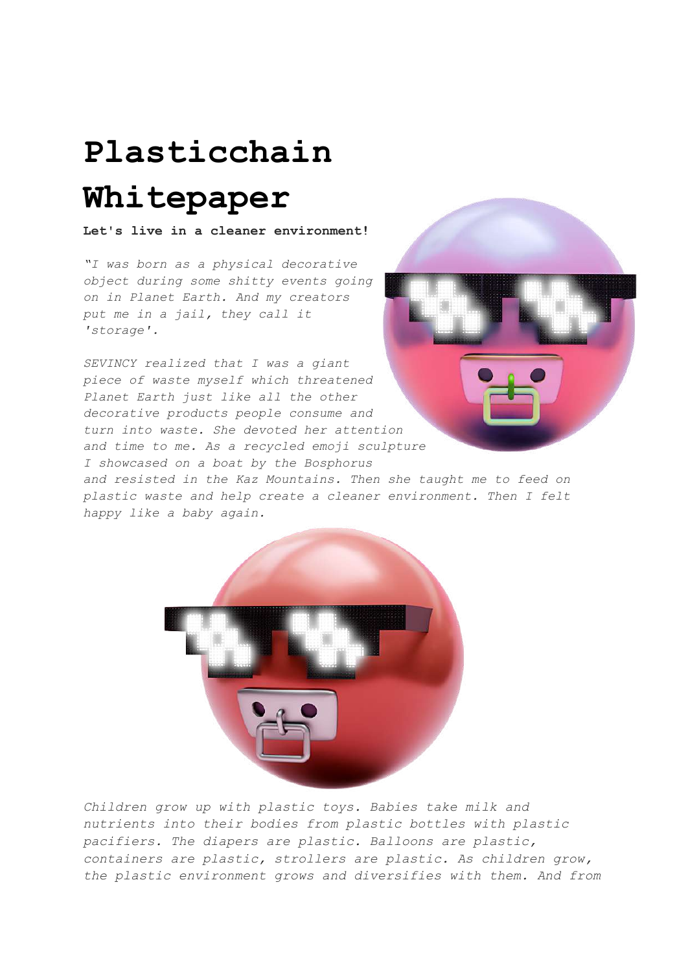# **Plasticchain Whitepaper**

**Let's live in a cleaner environment!**

*"I was born as a physical decorative object during some shitty events going on in Planet Earth. And my creators put me in a jail, they call it 'storage'.*

*SEVINCY realized that I was a giant piece of waste myself which threatened Planet Earth just like all the other decorative products people consume and turn into waste. She devoted her attention and time to me. As a recycled emoji sculpture I showcased on a boat by the Bosphorus*



*and resisted in the Kaz Mountains. Then she taught me to feed on plastic waste and help create a cleaner environment. Then I felt happy like a baby again.*



*Children grow up with plastic toys. Babies take milk and nutrients into their bodies from plastic bottles with plastic pacifiers. The diapers are plastic. Balloons are plastic, containers are plastic, strollers are plastic. As children grow, the plastic environment grows and diversifies with them. And from*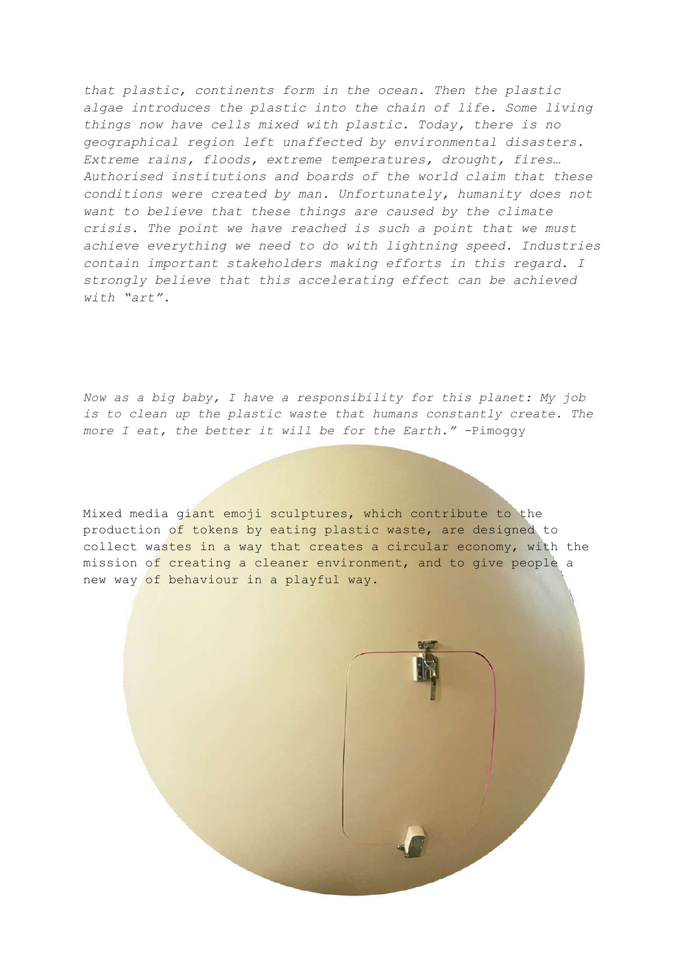*that plastic, continents form in the ocean. Then the plastic algae introduces the plastic into the chain of life. Some living things now have cells mixed with plastic. Today, there is no geographical region left unaffected by environmental disasters. Extreme rains, floods, extreme temperatures, drought, fires… Authorised institutions and boards of the world claim that these conditions were created by man. Unfortunately, humanity does not want to believe that these things are caused by the climate crisis. The point we have reached is such a point that we must achieve everything we need to do with lightning speed. Industries contain important stakeholders making efforts in this regard. I strongly believe that this accelerating effect can be achieved with "art".*

*Now as a big baby, I have a responsibility for this planet: My job is to clean up the plastic waste that humans constantly create. The more I eat, the better it will be for the Earth." -*Pimoggy

Mixed media giant emoji sculptures, which contribute to the production of tokens by eating plastic waste, are designed to collect wastes in a way that creates a circular economy, with the mission of creating a cleaner environment, and to give people a new way of behaviour in a playful way.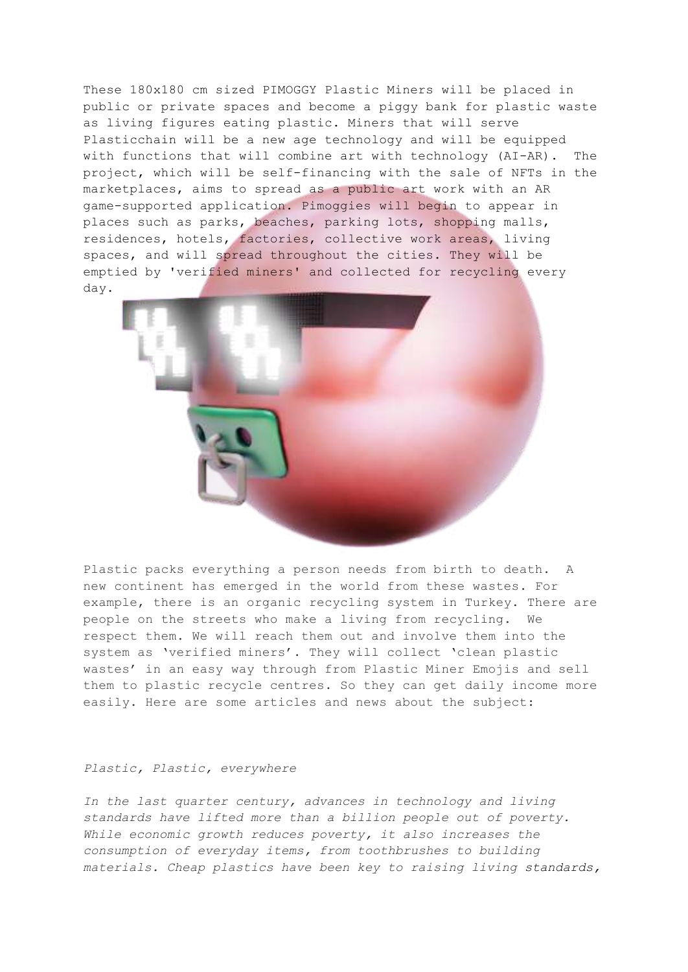These 180x180 cm sized PIMOGGY Plastic Miners will be placed in public or private spaces and become a piggy bank for plastic waste as living figures eating plastic. Miners that will serve Plasticchain will be a new age technology and will be equipped with functions that will combine art with technology (AI-AR). The project, which will be self-financing with the sale of NFTs in the marketplaces, aims to spread as a public art work with an AR game-supported application. Pimoggies will begin to appear in places such as parks, beaches, parking lots, shopping malls, residences, hotels, factories, collective work areas, living spaces, and will spread throughout the cities. They will be emptied by 'verified miners' and collected for recycling every day.



Plastic packs everything a person needs from birth to death. A new continent has emerged in the world from these wastes. For example, there is an organic recycling system in Turkey. There are people on the streets who make a living from recycling. We respect them. We will reach them out and involve them into the system as 'verified miners'. They will collect 'clean plastic wastes' in an easy way through from Plastic Miner Emojis and sell them to plastic recycle centres. So they can get daily income more easily. Here are some articles and news about the subject:

#### *Plastic, Plastic, everywhere*

*In the last quarter century, advances in technology and living standards have lifted more than a billion people out of poverty. While economic growth reduces poverty, it also increases the consumption of everyday items, from toothbrushes to building materials. Cheap plastics have been key to raising living standards,*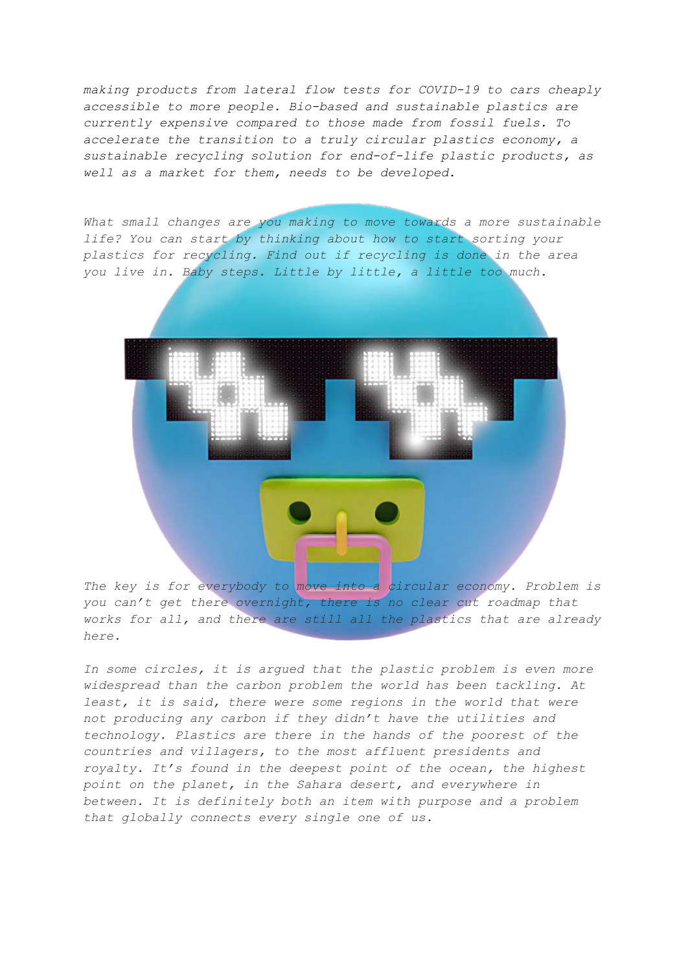*making products from lateral flow tests for COVID-19 to cars cheaply accessible to more people. Bio-based and sustainable plastics are currently expensive compared to those made from fossil fuels. To accelerate the transition to a truly circular plastics economy, a sustainable recycling solution for end-of-life plastic products, as well as a market for them, needs to be developed*.

*What small changes are you making to move towards a more sustainable life? You can start by thinking about how to start sorting your plastics for recycling. Find out if recycling is done in the area you live in. Baby steps. Little by little, a little too much.*



*The key is for everybody to move into a circular economy. Problem is you can't get there overnight, there is no clear cut roadmap that works for all, and there are still all the plastics that are already here.*

*In some circles, it is argued that the plastic problem is even more widespread than the carbon problem the world has been tackling. At least, it is said, there were some regions in the world that were not producing any carbon if they didn't have the utilities and technology. Plastics are there in the hands of the poorest of the countries and villagers, to the most affluent presidents and royalty. It's found in the deepest point of the ocean, the highest point on the planet, in the Sahara desert, and everywhere in between. It is definitely both an item with purpose and a problem that globally connects every single one of us.*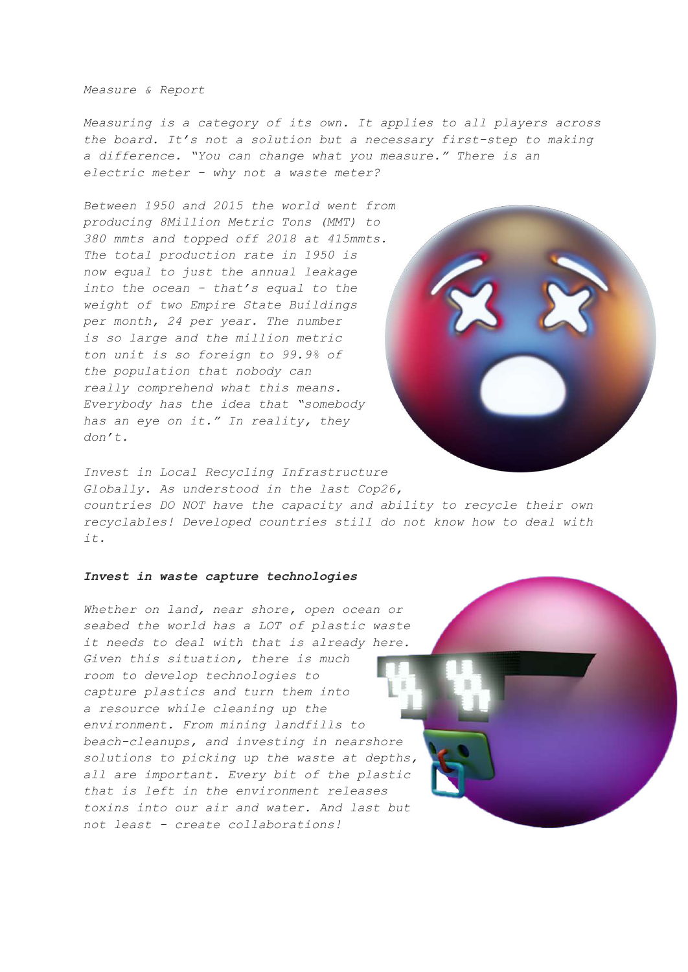*Measure & Report*

*Measuring is a category of its own. It applies to all players across the board. It's not a solution but a necessary first-step to making a difference. "You can change what you measure." There is an electric meter - why not a waste meter?*

*Between 1950 and 2015 the world went from producing 8Million Metric Tons (MMT) to 380 mmts and topped off 2018 at 415mmts. The total production rate in 1950 is now equal to just the annual leakage into the ocean - that's equal to the weight of two Empire State Buildings per month, 24 per year. The number is so large and the million metric ton unit is so foreign to 99.9% of the population that nobody can really comprehend what this means. Everybody has the idea that "somebody has an eye on it." In reality, they don't.*



*Invest in Local Recycling Infrastructure Globally. As understood in the last Cop26, countries DO NOT have the capacity and ability to recycle their own recyclables! Developed countries still do not know how to deal with it.*

#### *Invest in waste capture technologies*

*Whether on land, near shore, open ocean or seabed the world has a LOT of plastic waste it needs to deal with that is already here. Given this situation, there is much room to develop technologies to capture plastics and turn them into a resource while cleaning up the environment. From mining landfills to beach-cleanups, and investing in nearshore solutions to picking up the waste at depths, all are important. Every bit of the plastic that is left in the environment releases toxins into our air and water. And last but not least - create collaborations!*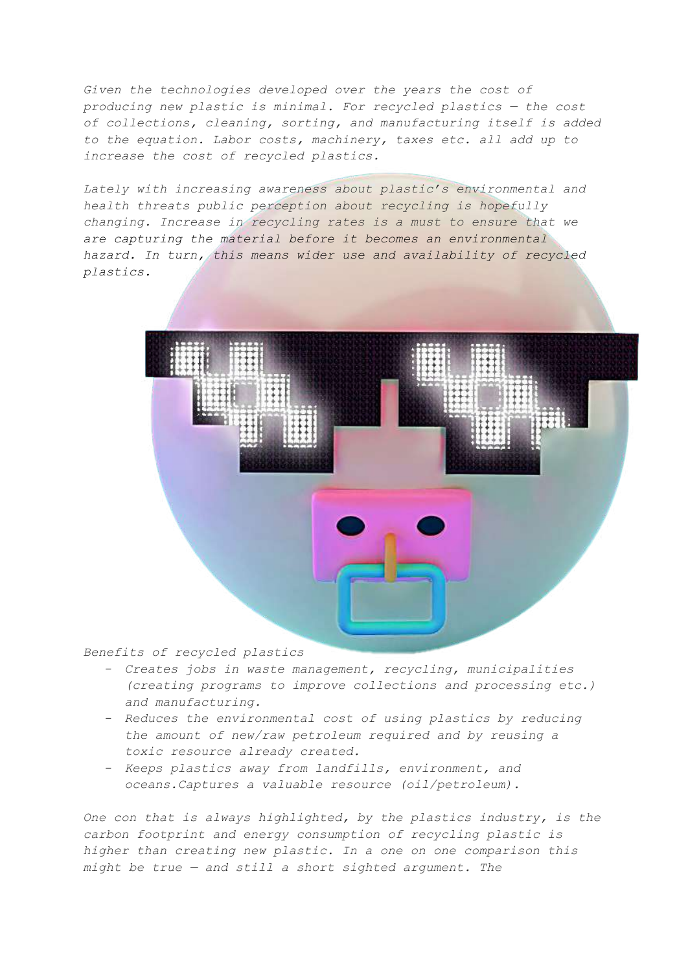*Given the technologies developed over the years the cost of producing new plastic is minimal. For recycled plastics — the cost of collections, cleaning, sorting, and manufacturing itself is added to the equation. Labor costs, machinery, taxes etc. all add up to increase the cost of recycled plastics.*

*Lately with increasing awareness about plastic's environmental and health threats public perception about recycling is hopefully changing. Increase in recycling rates is a must to ensure that we are capturing the material before it becomes an environmental hazard. In turn, this means wider use and availability of recycled plastics.*



*Benefits of recycled plastics*

- *- Creates jobs in waste management, recycling, municipalities (creating programs to improve collections and processing etc.) and manufacturing.*
- *- Reduces the environmental cost of using plastics by reducing the amount of new/raw petroleum required and by reusing a toxic resource already created.*
- *- Keeps plastics away from landfills, environment, and oceans.Captures a valuable resource (oil/petroleum).*

*One con that is always highlighted, by the plastics industry, is the carbon footprint and energy consumption of recycling plastic is higher than creating new plastic. In a one on one comparison this might be true — and still a short sighted argument. The*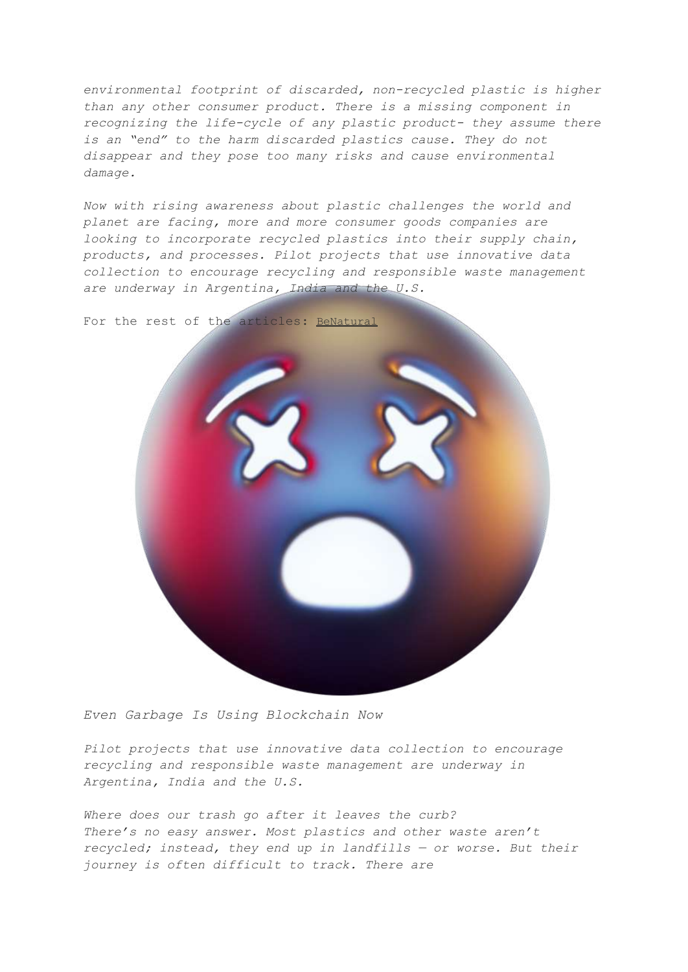*environmental footprint of discarded, non-recycled plastic is higher than any other consumer product. There is a missing component in recognizing the life-cycle of any plastic product- they assume there is an "end" to the harm discarded plastics cause. They do not disappear and they pose too many risks and cause environmental damage.*

*Now with rising awareness about plastic challenges the world and planet are facing, more and more consumer goods companies are looking to incorporate recycled plastics into their supply chain, products, and processes. Pilot projects that use innovative data collection to encourage recycling and responsible waste management are underway in Argentina, India and the U.S.*

For the rest of the articles: [BeNatural](https://medium.com/benatural-world)



*Even Garbage Is Using Blockchain Now*

*Pilot projects that use innovative data collection to encourage recycling and responsible waste management are underway in Argentina, India and the U.S.*

*Where does our trash go after it leaves the curb? There's no easy answer. Most plastics and other waste aren't recycled; instead, they end up in landfills — or worse. But their journey is often difficult to track. There are*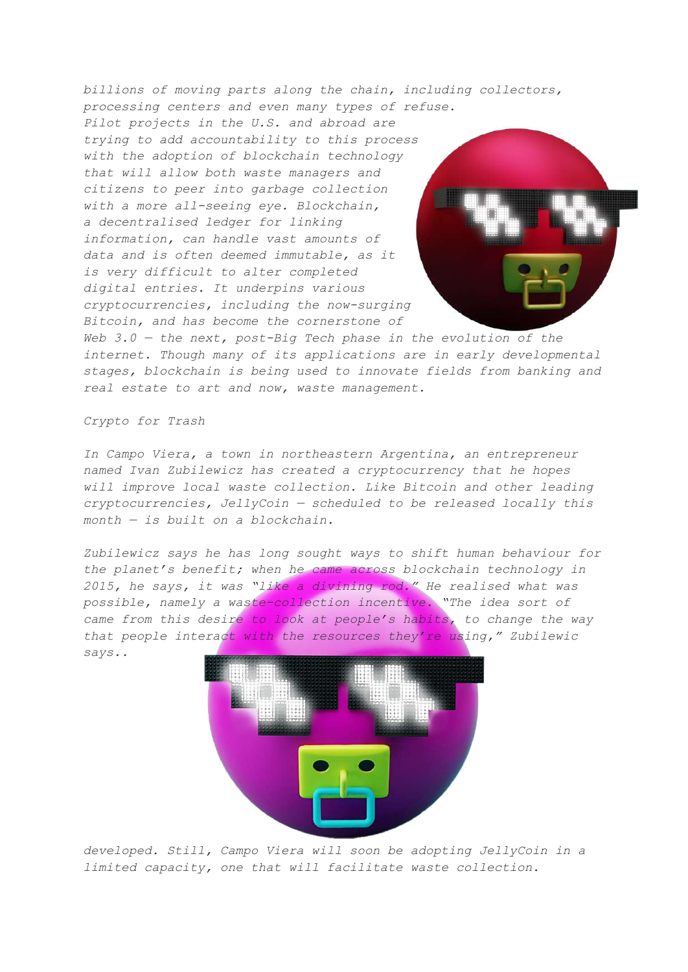*billions of moving parts along the chain, including collectors, processing centers and even many types of refuse. Pilot projects in the U.S. and abroad are trying to add accountability to this process with the adoption of blockchain technology that will allow both waste managers and citizens to peer into garbage collection with a more all-seeing eye. Blockchain, a decentralised ledger for linking information, can handle vast amounts of data and is often deemed immutable, as it is very difficult to alter completed digital entries. It underpins various cryptocurrencies, including the now-surging Bitcoin, and has become the cornerstone of*

*Web 3.0 — the next, post-Big Tech phase in the evolution of the internet. Though many of its applications are in early developmental stages, blockchain is being used to innovate fields from banking and real estate to art and now, waste management.*

*Crypto for Trash*

*In Campo Viera, a town in northeastern Argentina, an entrepreneur named Ivan Zubilewicz has created a cryptocurrency that he hopes will improve local waste collection. Like Bitcoin and other leading cryptocurrencies, JellyCoin — scheduled to be released locally this month — is built on a blockchain.*

*Zubilewicz says he has long sought ways to shift human behaviour for the planet's benefit; when he came across blockchain technology in 2015, he says, it was "like a divining rod." He realised what was possible, namely a waste-collection incentive. "The idea sort of came from this desire to look at people's habits, to change the way that people interact with the resources they're using," Zubilewic says..*



*developed. Still, Campo Viera will soon be adopting JellyCoin in a limited capacity, one that will facilitate waste collection.*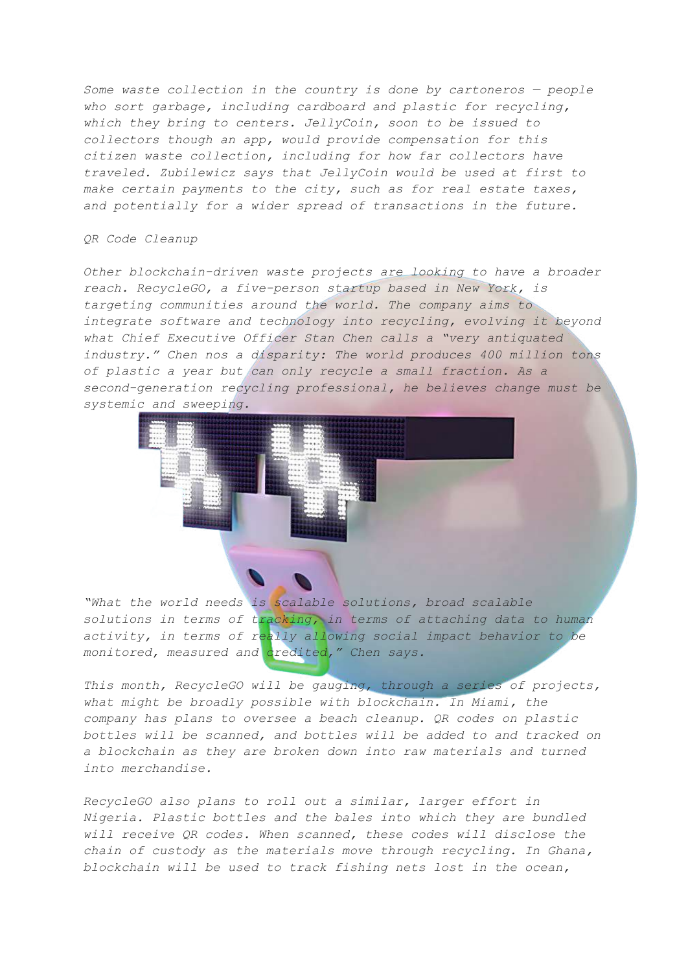*Some waste collection in the country is done by cartoneros — people who sort garbage, including cardboard and plastic for recycling, which they bring to centers. JellyCoin, soon to be issued to collectors though an app, would provide compensation for this citizen waste collection, including for how far collectors have traveled. Zubilewicz says that JellyCoin would be used at first to make certain payments to the city, such as for real estate taxes, and potentially for a wider spread of transactions in the future.*

#### *QR Code Cleanup*

*Other blockchain-driven waste projects are looking to have a broader reach. RecycleGO, a five-person startup based in New York, is targeting communities around the world. The company aims to integrate software and technology into recycling, evolving it beyond what Chief Executive Officer Stan Chen calls a "very antiquated industry." Chen nos a disparity: The world produces 400 million tons of plastic a year but can only recycle a small fraction. As a second-generation recycling professional, he believes change must be systemic and sweeping.*



*"What the world needs is scalable solutions, broad scalable solutions in terms of tracking, in terms of attaching data to human activity, in terms of really allowing social impact behavior to be monitored, measured and credited," Chen says.*

*This month, RecycleGO will be gauging, through a series of projects, what might be broadly possible with blockchain. In Miami, the company has plans to oversee a beach cleanup. QR codes on plastic bottles will be scanned, and bottles will be added to and tracked on a blockchain as they are broken down into raw materials and turned into merchandise.*

*RecycleGO also plans to roll out a similar, larger effort in Nigeria. Plastic bottles and the bales into which they are bundled will receive QR codes. When scanned, these codes will disclose the chain of custody as the materials move through recycling. In Ghana, blockchain will be used to track fishing nets lost in the ocean,*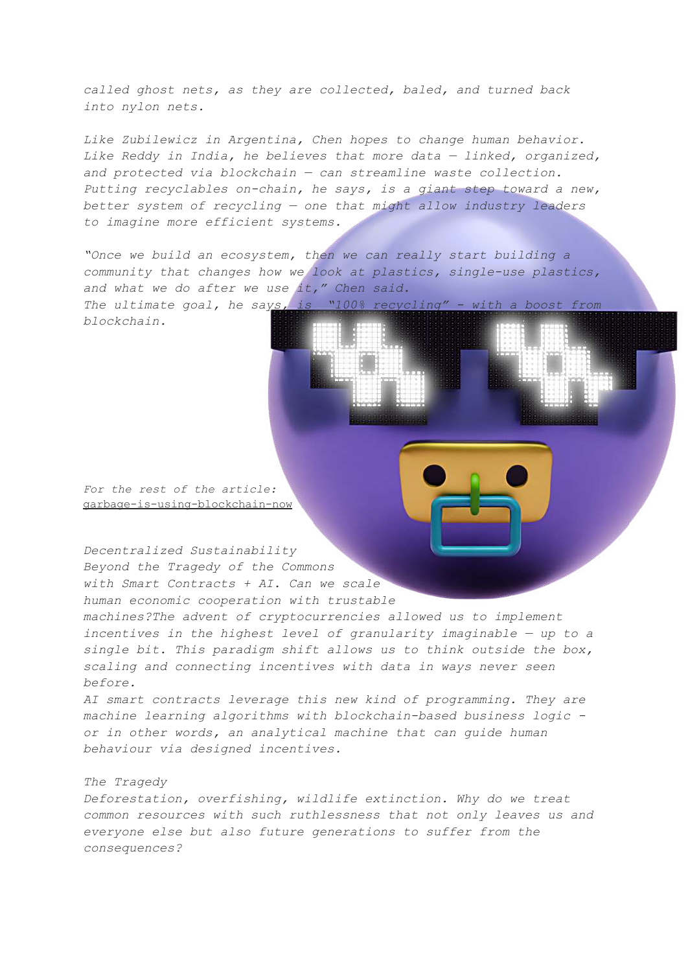*called ghost nets, as they are collected, baled, and turned back into nylon nets.*

*Like Zubilewicz in Argentina, Chen hopes to change human behavior. Like Reddy in India, he believes that more data — linked, organized, and protected via blockchain — can streamline waste collection. Putting recyclables on-chain, he says, is a giant step toward a new, better system of recycling — one that might allow industry leaders to imagine more efficient systems.*

*"Once we build an ecosystem, then we can really start building a community that changes how we look at plastics, single-use plastics, and what we do after we use it," Chen said. The ultimate goal, he says, is "100% recycling" - with a boost from blockchain.*

*For the rest of the article:* [garbage-is-using-blockchain-now](https://www.bloomberg.com/news/articles/2021-03-18/even-garbage-is-using-blockchain-now)

*Decentralized Sustainability Beyond the Tragedy of the Commons with Smart Contracts + AI. Can we scale human economic cooperation with trustable*

*machines?The advent of cryptocurrencies allowed us to implement incentives in the highest level of granularity imaginable — up to a single bit. This paradigm shift allows us to think outside the box, scaling and connecting incentives with data in ways never seen before.*

*AI smart contracts leverage this new kind of programming. They are machine learning algorithms with blockchain-based business logic or in other words, an analytical machine that can guide human behaviour via designed incentives.*

### *The Tragedy*

*Deforestation, overfishing, wildlife extinction. Why do we treat common resources with such ruthlessness that not only leaves us and everyone else but also future generations to suffer from the consequences?*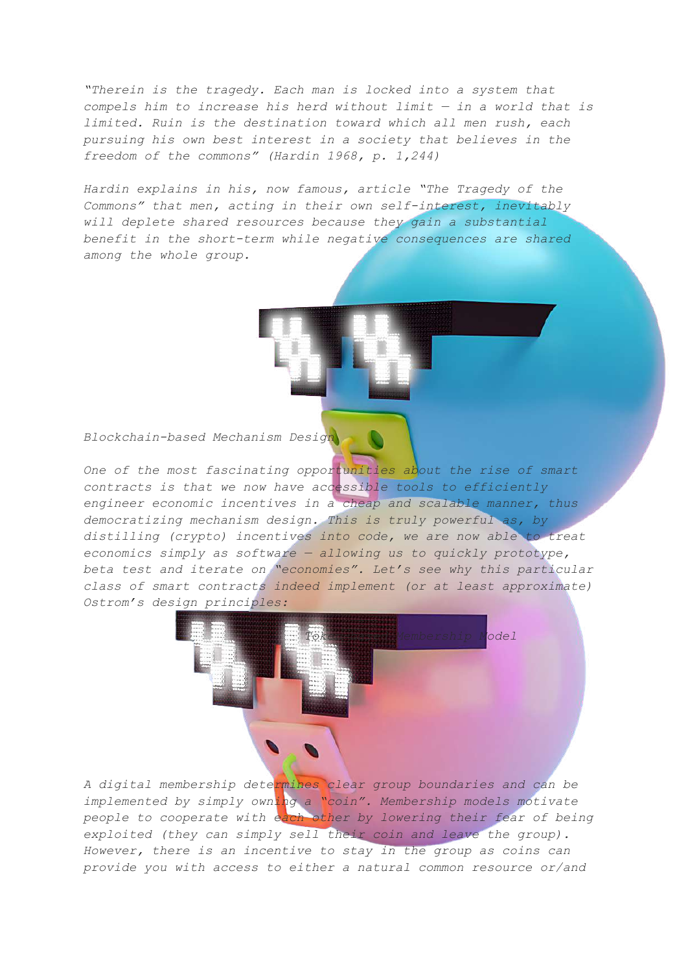*"Therein is the tragedy. Each man is locked into a system that compels him to increase his herd without limit — in a world that is limited. Ruin is the destination toward which all men rush, each pursuing his own best interest in a society that believes in the freedom of the commons" (Hardin 1968, p. 1,244)*

*Hardin explains in his, now famous, article "The Tragedy of the Commons" that men, acting in their own self-interest, inevitably will deplete shared resources because they gain a substantial benefit in the short-term while negative consequences are shared among the whole group.*

*Blockchain-based Mechanism Design*

*One of the most fascinating opportunities about the rise of smart contracts is that we now have accessible tools to efficiently engineer economic incentives in a cheap and scalable manner, thus democratizing mechanism design. This is truly powerful as, by distilling (crypto) incentives into code, we are now able to treat economics simply as software — allowing us to quickly prototype, beta test and iterate on "economies". Let's see why this particular class of smart contracts indeed implement (or at least approximate) Ostrom's design principles:*



*A digital membership determines clear group boundaries and can be implemented by simply owning a "coin". Membership models motivate people to cooperate with each other by lowering their fear of being exploited (they can simply sell their coin and leave the group). However, there is an incentive to stay in the group as coins can provide you with access to either a natural common resource or/and*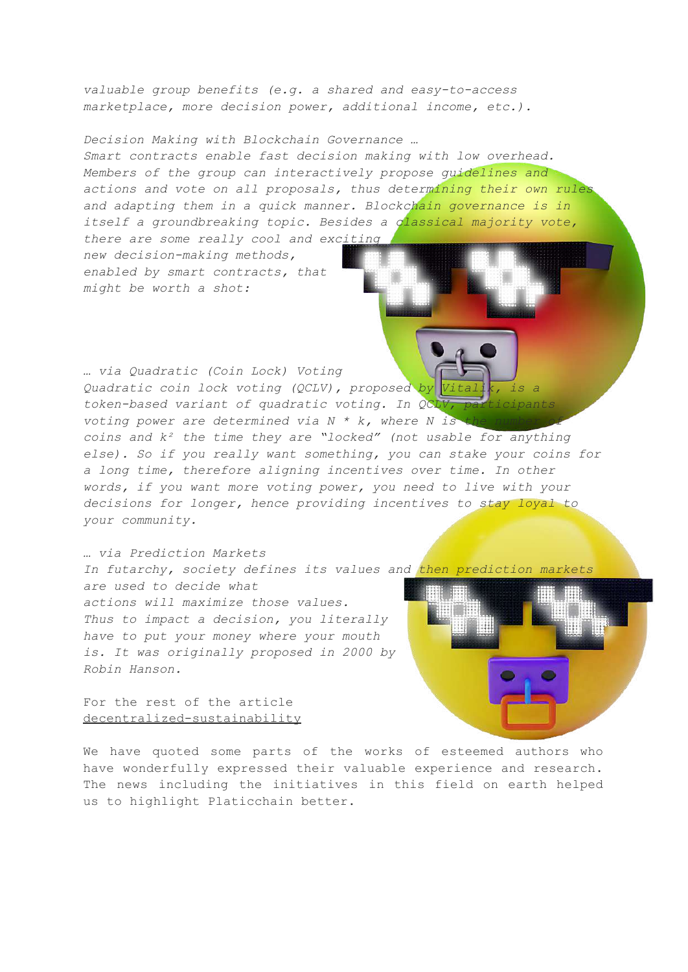*valuable group benefits (e.g. a shared and easy-to-access marketplace, more decision power, additional income, etc.).*

*Decision Making with Blockchain Governance …*

*Smart contracts enable fast decision making with low overhead. Members of the group can interactively propose guidelines and actions and vote on all proposals, thus determining their own rules and adapting them in a quick manner. Blockchain governance is in itself a groundbreaking topic. Besides a classical majority vote, there are some really cool and exciting*

*new decision-making methods, enabled by smart contracts, that might be worth a shot:*

*… via Quadratic (Coin Lock) Voting Quadratic coin lock voting (QCLV), proposed by Vital token-based variant of quadratic voting. In QCLV, participants voting power* are *determined via*  $N * k$ , *where*  $N$  *is coins and k² the time they are "locked" (not usable for anything else). So if you really want something, you can stake your coins for a long time, therefore aligning incentives over time. In other words, if you want more voting power, you need to live with your decisions for longer, hence providing incentives to stay loyal to your community.*

*… via Prediction Markets In futarchy, society defines its values and then prediction markets are used to decide what actions will maximize those values. Thus to impact a decision, you literally have to put your money where your mouth is. It was originally proposed in 2000 by Robin Hanson.*

For the rest of the article [decentralized-sustainability](https://medium.com/gainforest/decentralized-sustainability-9a53223d3001)

We have quoted some parts of the works of esteemed authors who have wonderfully expressed their valuable experience and research. The news including the initiatives in this field on earth helped us to highlight Platicchain better.